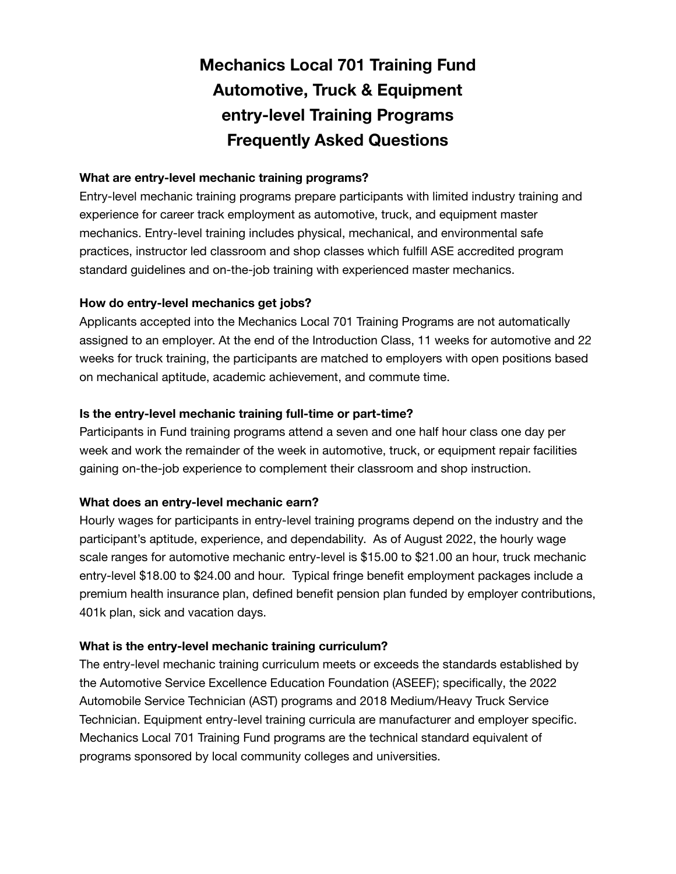# **Mechanics Local 701 Training Fund Automotive, Truck & Equipment entry-level Training Programs Frequently Asked Questions**

## **What are entry-level mechanic training programs?**

Entry-level mechanic training programs prepare participants with limited industry training and experience for career track employment as automotive, truck, and equipment master mechanics. Entry-level training includes physical, mechanical, and environmental safe practices, instructor led classroom and shop classes which fulfill ASE accredited program standard guidelines and on-the-job training with experienced master mechanics.

### **How do entry-level mechanics get jobs?**

Applicants accepted into the Mechanics Local 701 Training Programs are not automatically assigned to an employer. At the end of the Introduction Class, 11 weeks for automotive and 22 weeks for truck training, the participants are matched to employers with open positions based on mechanical aptitude, academic achievement, and commute time.

### **Is the entry-level mechanic training full-time or part-time?**

Participants in Fund training programs attend a seven and one half hour class one day per week and work the remainder of the week in automotive, truck, or equipment repair facilities gaining on-the-job experience to complement their classroom and shop instruction.

#### **What does an entry-level mechanic earn?**

Hourly wages for participants in entry-level training programs depend on the industry and the participant's aptitude, experience, and dependability. As of August 2022, the hourly wage scale ranges for automotive mechanic entry-level is \$15.00 to \$21.00 an hour, truck mechanic entry-level \$18.00 to \$24.00 and hour. Typical fringe benefit employment packages include a premium health insurance plan, defined benefit pension plan funded by employer contributions, 401k plan, sick and vacation days.

# **What is the entry-level mechanic training curriculum?**

The entry-level mechanic training curriculum meets or exceeds the standards established by the Automotive Service Excellence Education Foundation (ASEEF); specifically, the 2022 Automobile Service Technician (AST) programs and 2018 Medium/Heavy Truck Service Technician. Equipment entry-level training curricula are manufacturer and employer specific. Mechanics Local 701 Training Fund programs are the technical standard equivalent of programs sponsored by local community colleges and universities.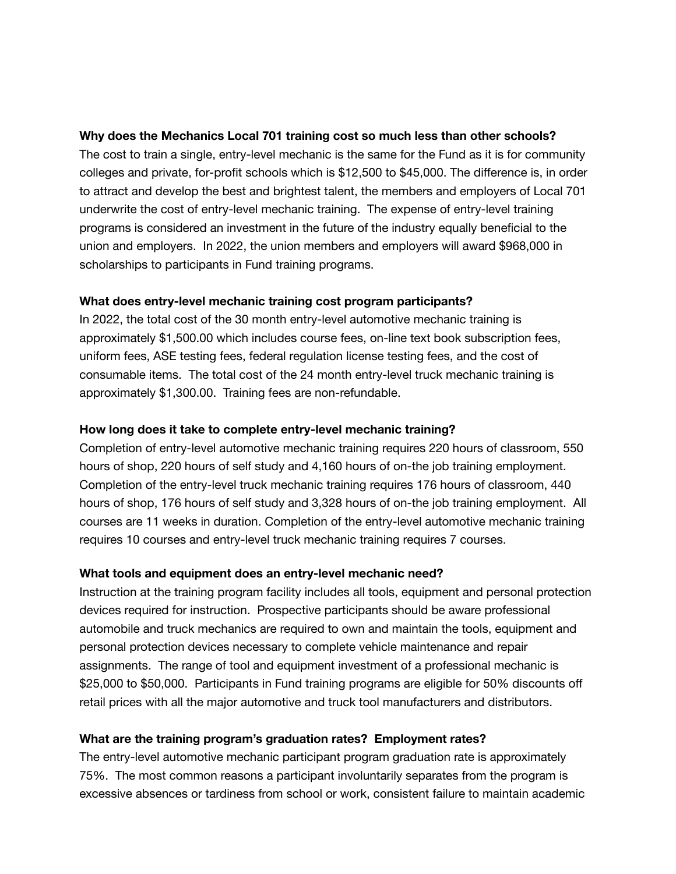#### **Why does the Mechanics Local 701 training cost so much less than other schools?**

The cost to train a single, entry-level mechanic is the same for the Fund as it is for community colleges and private, for-profit schools which is \$12,500 to \$45,000. The difference is, in order to attract and develop the best and brightest talent, the members and employers of Local 701 underwrite the cost of entry-level mechanic training. The expense of entry-level training programs is considered an investment in the future of the industry equally beneficial to the union and employers. In 2022, the union members and employers will award \$968,000 in scholarships to participants in Fund training programs.

### **What does entry-level mechanic training cost program participants?**

In 2022, the total cost of the 30 month entry-level automotive mechanic training is approximately \$1,500.00 which includes course fees, on-line text book subscription fees, uniform fees, ASE testing fees, federal regulation license testing fees, and the cost of consumable items. The total cost of the 24 month entry-level truck mechanic training is approximately \$1,300.00. Training fees are non-refundable.

### **How long does it take to complete entry-level mechanic training?**

Completion of entry-level automotive mechanic training requires 220 hours of classroom, 550 hours of shop, 220 hours of self study and 4,160 hours of on-the job training employment. Completion of the entry-level truck mechanic training requires 176 hours of classroom, 440 hours of shop, 176 hours of self study and 3,328 hours of on-the job training employment. All courses are 11 weeks in duration. Completion of the entry-level automotive mechanic training requires 10 courses and entry-level truck mechanic training requires 7 courses.

# **What tools and equipment does an entry-level mechanic need?**

Instruction at the training program facility includes all tools, equipment and personal protection devices required for instruction. Prospective participants should be aware professional automobile and truck mechanics are required to own and maintain the tools, equipment and personal protection devices necessary to complete vehicle maintenance and repair assignments. The range of tool and equipment investment of a professional mechanic is \$25,000 to \$50,000. Participants in Fund training programs are eligible for 50% discounts off retail prices with all the major automotive and truck tool manufacturers and distributors.

# **What are the training program's graduation rates? Employment rates?**

The entry-level automotive mechanic participant program graduation rate is approximately 75%. The most common reasons a participant involuntarily separates from the program is excessive absences or tardiness from school or work, consistent failure to maintain academic